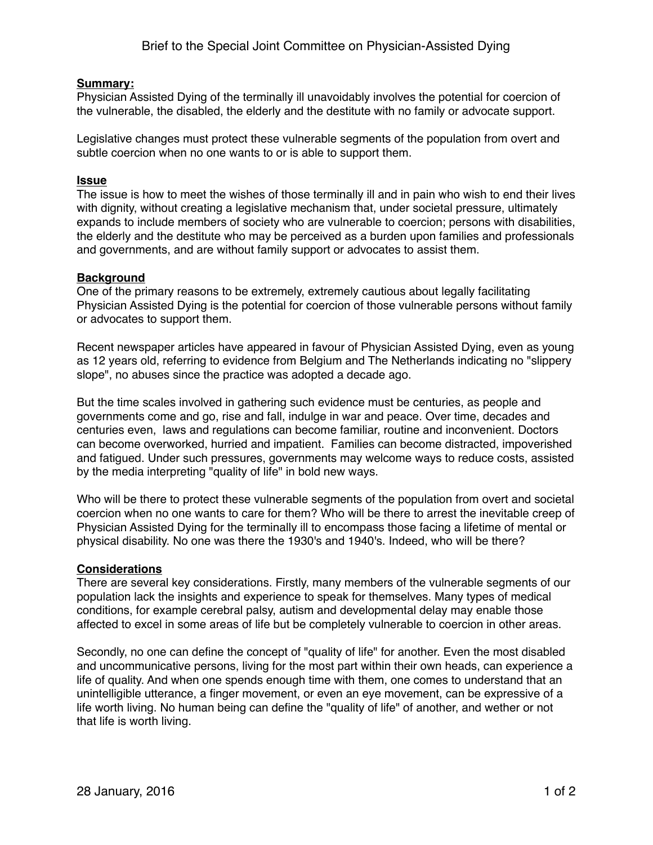### **Summary:**

Physician Assisted Dying of the terminally ill unavoidably involves the potential for coercion of the vulnerable, the disabled, the elderly and the destitute with no family or advocate support.

Legislative changes must protect these vulnerable segments of the population from overt and subtle coercion when no one wants to or is able to support them.

#### **Issue**

The issue is how to meet the wishes of those terminally ill and in pain who wish to end their lives with dignity, without creating a legislative mechanism that, under societal pressure, ultimately expands to include members of society who are vulnerable to coercion; persons with disabilities, the elderly and the destitute who may be perceived as a burden upon families and professionals and governments, and are without family support or advocates to assist them.

### **Background**

One of the primary reasons to be extremely, extremely cautious about legally facilitating Physician Assisted Dying is the potential for coercion of those vulnerable persons without family or advocates to support them.

Recent newspaper articles have appeared in favour of Physician Assisted Dying, even as young as 12 years old, referring to evidence from Belgium and The Netherlands indicating no "slippery slope", no abuses since the practice was adopted a decade ago.

But the time scales involved in gathering such evidence must be centuries, as people and governments come and go, rise and fall, indulge in war and peace. Over time, decades and centuries even, laws and regulations can become familiar, routine and inconvenient. Doctors can become overworked, hurried and impatient. Families can become distracted, impoverished and fatigued. Under such pressures, governments may welcome ways to reduce costs, assisted by the media interpreting "quality of life" in bold new ways.

Who will be there to protect these vulnerable segments of the population from overt and societal coercion when no one wants to care for them? Who will be there to arrest the inevitable creep of Physician Assisted Dying for the terminally ill to encompass those facing a lifetime of mental or physical disability. No one was there the 1930's and 1940's. Indeed, who will be there?

# **Considerations**

There are several key considerations. Firstly, many members of the vulnerable segments of our population lack the insights and experience to speak for themselves. Many types of medical conditions, for example cerebral palsy, autism and developmental delay may enable those affected to excel in some areas of life but be completely vulnerable to coercion in other areas.

Secondly, no one can define the concept of "quality of life" for another. Even the most disabled and uncommunicative persons, living for the most part within their own heads, can experience a life of quality. And when one spends enough time with them, one comes to understand that an unintelligible utterance, a finger movement, or even an eye movement, can be expressive of a life worth living. No human being can define the "quality of life" of another, and wether or not that life is worth living.